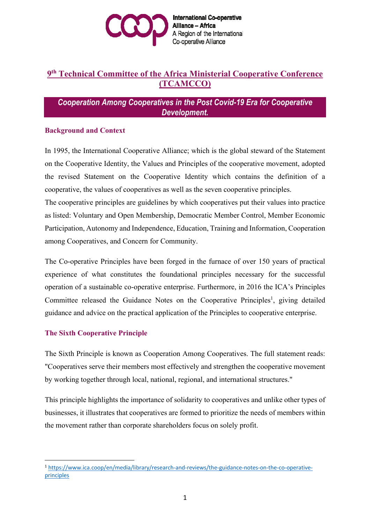

**International Co-operative Alliance - Africa** A Region of the International Co-operative Alliance

# **9th Technical Committee of the Africa Ministerial Cooperative Conference (TCAMCCO)**

*Cooperation Among Cooperatives in the Post Covid-19 Era for Cooperative Development.*

## **Background and Context**

In 1995, the International Cooperative Alliance; which is the global steward of the Statement on the Cooperative Identity, the Values and Principles of the cooperative movement, adopted the revised Statement on the Cooperative Identity which contains the definition of a cooperative, the values of cooperatives as well as the seven cooperative principles.

The cooperative principles are guidelines by which cooperatives put their values into practice as listed: Voluntary and Open Membership, Democratic Member Control, Member Economic Participation, Autonomy and Independence, Education, Training and Information, Cooperation among Cooperatives, and Concern for Community.

The Co-operative Principles have been forged in the furnace of over 150 years of practical experience of what constitutes the foundational principles necessary for the successful operation of a sustainable co-operative enterprise. Furthermore, in 2016 the ICA's Principles Committee released the Guidance Notes on the Cooperative Principles<sup>1</sup>, giving detailed guidance and advice on the practical application of the Principles to cooperative enterprise.

## **The Sixth Cooperative Principle**

The Sixth Principle is known as Cooperation Among Cooperatives. The full statement reads: "Cooperatives serve their members most effectively and strengthen the cooperative movement by working together through local, national, regional, and international structures."

This principle highlights the importance of solidarity to cooperatives and unlike other types of businesses, it illustrates that cooperatives are formed to prioritize the needs of members within the movement rather than corporate shareholders focus on solely profit.

<sup>1</sup> https://www.ica.coop/en/media/library/research-and-reviews/the-guidance-notes-on-the-co-operativeprinciples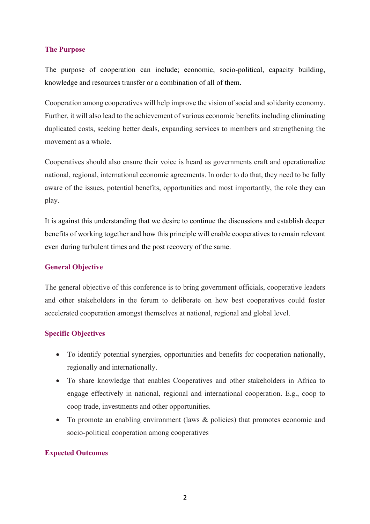## **The Purpose**

The purpose of cooperation can include; economic, socio-political, capacity building, knowledge and resources transfer or a combination of all of them.

Cooperation among cooperatives will help improve the vision of social and solidarity economy. Further, it will also lead to the achievement of various economic benefits including eliminating duplicated costs, seeking better deals, expanding services to members and strengthening the movement as a whole.

Cooperatives should also ensure their voice is heard as governments craft and operationalize national, regional, international economic agreements. In order to do that, they need to be fully aware of the issues, potential benefits, opportunities and most importantly, the role they can play.

It is against this understanding that we desire to continue the discussions and establish deeper benefits of working together and how this principle will enable cooperatives to remain relevant even during turbulent times and the post recovery of the same.

#### **General Objective**

The general objective of this conference is to bring government officials, cooperative leaders and other stakeholders in the forum to deliberate on how best cooperatives could foster accelerated cooperation amongst themselves at national, regional and global level.

## **Specific Objectives**

- To identify potential synergies, opportunities and benefits for cooperation nationally, regionally and internationally.
- To share knowledge that enables Cooperatives and other stakeholders in Africa to engage effectively in national, regional and international cooperation. E.g., coop to coop trade, investments and other opportunities.
- To promote an enabling environment (laws & policies) that promotes economic and socio-political cooperation among cooperatives

#### **Expected Outcomes**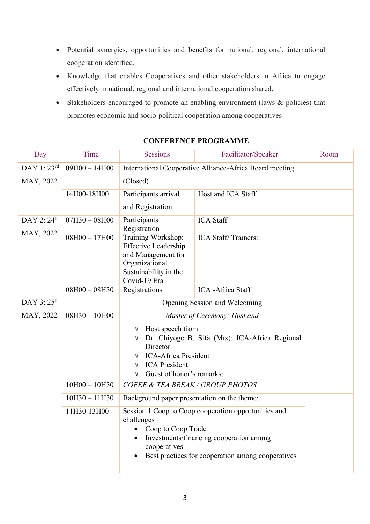- Potential synergies, opportunities and benefits for national, regional, international cooperation identified.
- Knowledge that enables Cooperatives and other stakeholders in Africa to engage effectively in national, regional and international cooperation shared.
- Stakeholders encouraged to promote an enabling environment (laws & policies) that promotes economic and socio-political cooperation among cooperatives

| Day                     | Time            | <b>Sessions</b>                                                                                                                                                                                                | Facilitator/Speaker | Room |  |
|-------------------------|-----------------|----------------------------------------------------------------------------------------------------------------------------------------------------------------------------------------------------------------|---------------------|------|--|
| DAY 1: 23rd             | $09H00 - 14H00$ | International Cooperative Alliance-Africa Board meeting                                                                                                                                                        |                     |      |  |
| MAY, 2022               |                 | (Closed)                                                                                                                                                                                                       |                     |      |  |
|                         | 14H00-18H00     | Participants arrival                                                                                                                                                                                           | Host and ICA Staff  |      |  |
|                         |                 | and Registration                                                                                                                                                                                               |                     |      |  |
| DAY 2: $24th$           | $07H30 - 08H00$ | Participants                                                                                                                                                                                                   | <b>ICA</b> Staff    |      |  |
| MAY, 2022               | $08H00 - 17H00$ | Registration<br>Training Workshop:<br><b>Effective Leadership</b><br>and Management for<br>Organizational<br>Sustainability in the<br>Covid-19 Era                                                             | ICA Staff/Trainers: |      |  |
|                         | $08H00 - 08H30$ | Registrations                                                                                                                                                                                                  | ICA -Africa Staff   |      |  |
| DAY 3: 25 <sup>th</sup> |                 | Opening Session and Welcoming                                                                                                                                                                                  |                     |      |  |
| MAY, 2022               | $08H30 - 10H00$ | Master of Ceremony: Host and                                                                                                                                                                                   |                     |      |  |
|                         |                 | Host speech from<br>$\sqrt{}$<br>Dr. Chiyoge B. Sifa (Mrs): ICA-Africa Regional<br>Director<br><b>ICA-Africa President</b><br>V<br><b>ICA</b> President<br>$\sqrt{}$<br>Guest of honor's remarks:<br>$\sqrt{}$ |                     |      |  |
|                         | $10H00 - 10H30$ | COFEE & TEA BREAK / GROUP PHOTOS                                                                                                                                                                               |                     |      |  |
|                         | $10H30 - 11H30$ | Background paper presentation on the theme:                                                                                                                                                                    |                     |      |  |
|                         | 11H30-13H00     | Session 1 Coop to Coop cooperation opportunities and<br>challenges<br>Coop to Coop Trade<br>Investments/financing cooperation among<br>cooperatives<br>Best practices for cooperation among cooperatives       |                     |      |  |

## **CONFERENCE PROGRAMME**